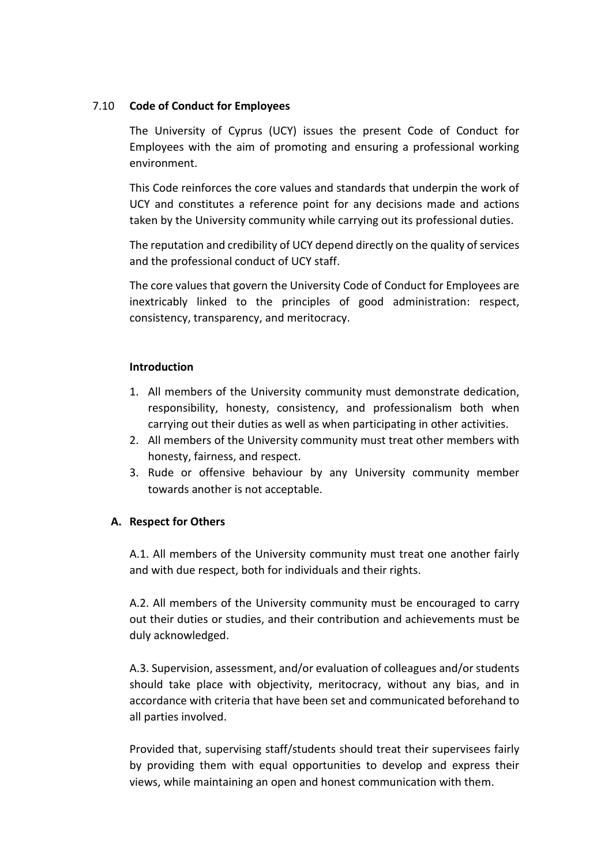## 7.10 **Code of Conduct for Employees**

The University of Cyprus (UCY) issues the present Code of Conduct for Employees with the aim of promoting and ensuring a professional working environment.

This Code reinforces the core values and standards that underpin the work of UCY and constitutes a reference point for any decisions made and actions taken by the University community while carrying out its professional duties.

The reputation and credibility of UCY depend directly on the quality of services and the professional conduct of UCY staff.

The core values that govern the University Code of Conduct for Employees are inextricably linked to the principles of good administration: respect, consistency, transparency, and meritocracy.

## **Introduction**

- 1. All members of the University community must demonstrate dedication, responsibility, honesty, consistency, and professionalism both when carrying out their duties as well as when participating in other activities.
- 2. All members of the University community must treat other members with honesty, fairness, and respect.
- 3. Rude or offensive behaviour by any University community member towards another is not acceptable.

# **A. Respect for Others**

A.1. All members of the University community must treat one another fairly and with due respect, both for individuals and their rights.

A.2. All members of the University community must be encouraged to carry out their duties or studies, and their contribution and achievements must be duly acknowledged.

A.3. Supervision, assessment, and/or evaluation of colleagues and/or students should take place with objectivity, meritocracy, without any bias, and in accordance with criteria that have been set and communicated beforehand to all parties involved.

Provided that, supervising staff/students should treat their supervisees fairly by providing them with equal opportunities to develop and express their views, while maintaining an open and honest communication with them.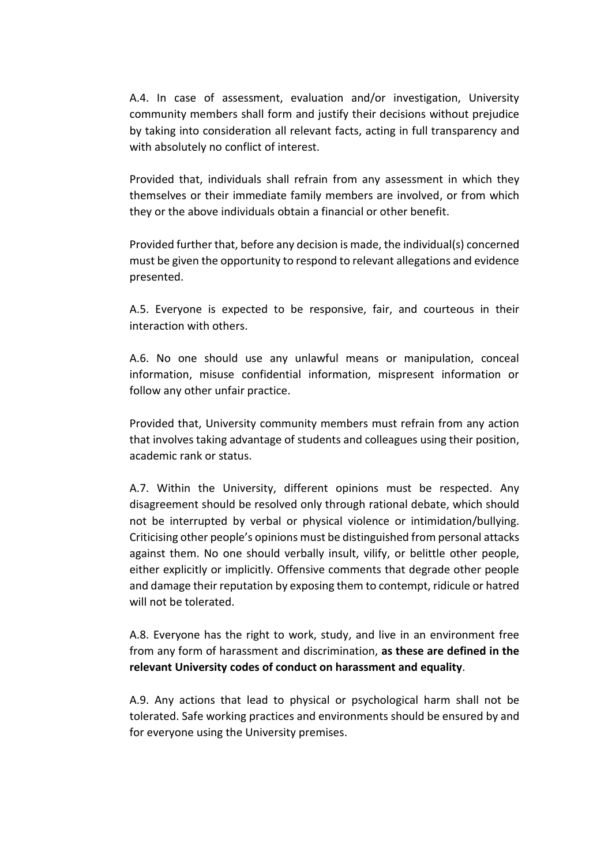A.4. In case of assessment, evaluation and/or investigation, University community members shall form and justify their decisions without prejudice by taking into consideration all relevant facts, acting in full transparency and with absolutely no conflict of interest.

Provided that, individuals shall refrain from any assessment in which they themselves or their immediate family members are involved, or from which they or the above individuals obtain a financial or other benefit.

Provided further that, before any decision is made, the individual(s) concerned must be given the opportunity to respond to relevant allegations and evidence presented.

A.5. Everyone is expected to be responsive, fair, and courteous in their interaction with others.

A.6. No one should use any unlawful means or manipulation, conceal information, misuse confidential information, mispresent information or follow any other unfair practice.

Provided that, University community members must refrain from any action that involves taking advantage of students and colleagues using their position, academic rank or status.

Α.7. Within the University, different opinions must be respected. Any disagreement should be resolved only through rational debate, which should not be interrupted by verbal or physical violence or intimidation/bullying. Criticising other people's opinions must be distinguished from personal attacks against them. No one should verbally insult, vilify, or belittle other people, either explicitly or implicitly. Offensive comments that degrade other people and damage their reputation by exposing them to contempt, ridicule or hatred will not be tolerated.

A.8. Everyone has the right to work, study, and live in an environment free from any form of harassment and discrimination, **as these are defined in the relevant University codes of conduct on harassment and equality**.

A.9. Any actions that lead to physical or psychological harm shall not be tolerated. Safe working practices and environments should be ensured by and for everyone using the University premises.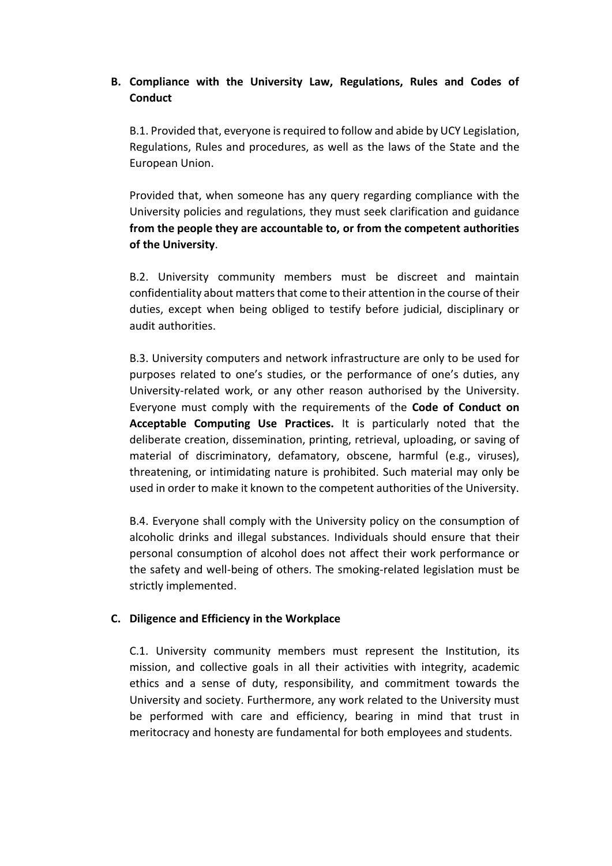# **B. Compliance with the University Law, Regulations, Rules and Codes of Conduct**

Β.1. Provided that, everyone is required to follow and abide by UCY Legislation, Regulations, Rules and procedures, as well as the laws of the State and the European Union.

Provided that, when someone has any query regarding compliance with the University policies and regulations, they must seek clarification and guidance **from the people they are accountable to, or from the competent authorities of the University**.

B.2. University community members must be discreet and maintain confidentiality about matters that come to their attention in the course of their duties, except when being obliged to testify before judicial, disciplinary or audit authorities.

B.3. University computers and network infrastructure are only to be used for purposes related to one's studies, or the performance of one's duties, any University-related work, or any other reason authorised by the University. Everyone must comply with the requirements of the **Code of Conduct on Acceptable Computing Use Practices.** It is particularly noted that the deliberate creation, dissemination, printing, retrieval, uploading, or saving of material of discriminatory, defamatory, obscene, harmful (e.g., viruses), threatening, or intimidating nature is prohibited. Such material may only be used in order to make it known to the competent authorities of the University.

B.4. Everyone shall comply with the University policy on the consumption of alcoholic drinks and illegal substances. Individuals should ensure that their personal consumption of alcohol does not affect their work performance or the safety and well-being of others. The smoking-related legislation must be strictly implemented.

#### **C. Diligence and Efficiency in the Workplace**

C.1. University community members must represent the Institution, its mission, and collective goals in all their activities with integrity, academic ethics and a sense of duty, responsibility, and commitment towards the University and society. Furthermore, any work related to the University must be performed with care and efficiency, bearing in mind that trust in meritocracy and honesty are fundamental for both employees and students.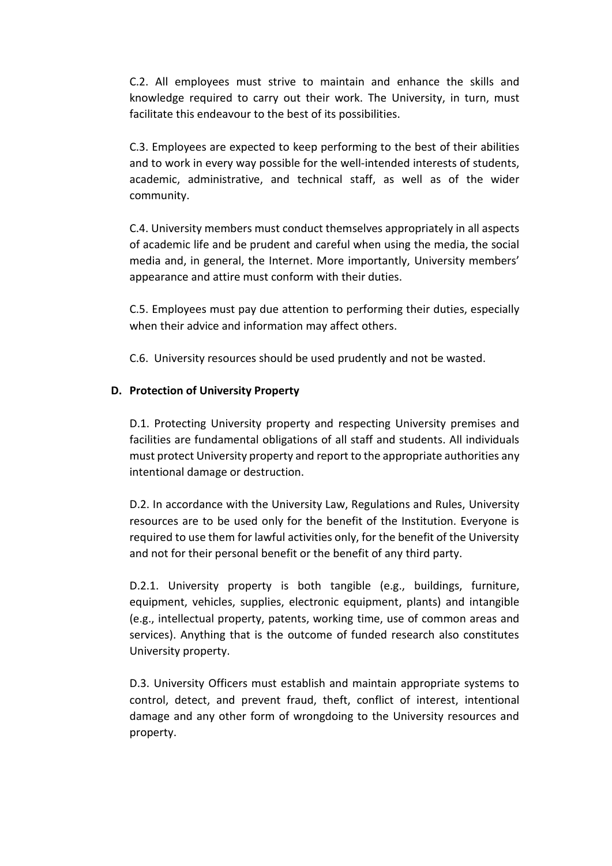C.2. All employees must strive to maintain and enhance the skills and knowledge required to carry out their work. The University, in turn, must facilitate this endeavour to the best of its possibilities.

C.3. Employees are expected to keep performing to the best of their abilities and to work in every way possible for the well-intended interests of students, academic, administrative, and technical staff, as well as of the wider community.

C.4. University members must conduct themselves appropriately in all aspects of academic life and be prudent and careful when using the media, the social media and, in general, the Internet. More importantly, University members' appearance and attire must conform with their duties.

C.5. Employees must pay due attention to performing their duties, especially when their advice and information may affect others.

C.6. University resources should be used prudently and not be wasted.

# **D. Protection of University Property**

D.1. Protecting University property and respecting University premises and facilities are fundamental obligations of all staff and students. All individuals must protect University property and report to the appropriate authorities any intentional damage or destruction.

D.2. In accordance with the University Law, Regulations and Rules, University resources are to be used only for the benefit of the Institution. Everyone is required to use them for lawful activities only, for the benefit of the University and not for their personal benefit or the benefit of any third party.

D.2.1. University property is both tangible (e.g., buildings, furniture, equipment, vehicles, supplies, electronic equipment, plants) and intangible (e.g., intellectual property, patents, working time, use of common areas and services). Anything that is the outcome of funded research also constitutes University property.

D.3. University Officers must establish and maintain appropriate systems to control, detect, and prevent fraud, theft, conflict of interest, intentional damage and any other form of wrongdoing to the University resources and property.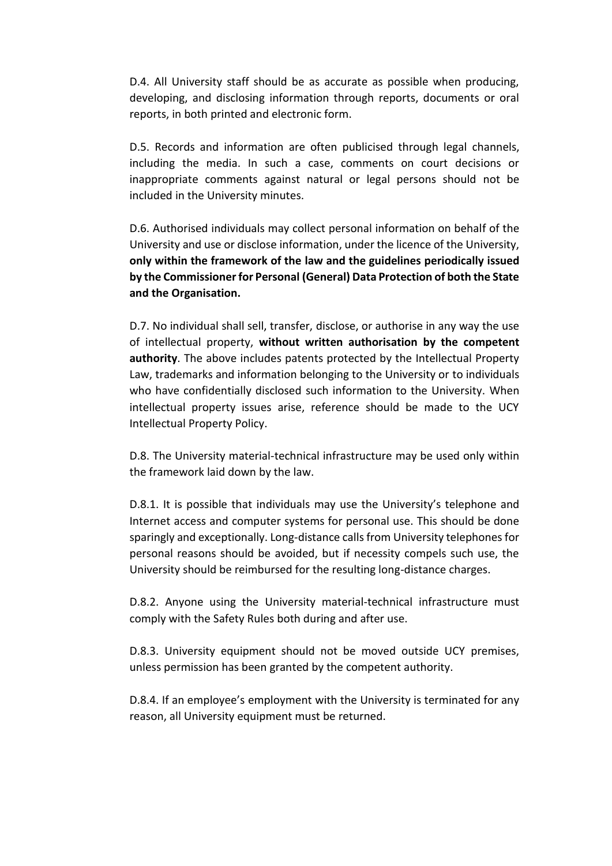D.4. All University staff should be as accurate as possible when producing, developing, and disclosing information through reports, documents or oral reports, in both printed and electronic form.

D.5. Records and information are often publicised through legal channels, including the media. In such a case, comments on court decisions or inappropriate comments against natural or legal persons should not be included in the University minutes.

D.6. Authorised individuals may collect personal information on behalf of the University and use or disclose information, under the licence of the University, **only within the framework of the law and the guidelines periodically issued by the Commissioner for Personal (General) Data Protection of both the State and the Organisation.**

D.7. No individual shall sell, transfer, disclose, or authorise in any way the use of intellectual property, **without written authorisation by the competent authority**. The above includes patents protected by the Intellectual Property Law, trademarks and information belonging to the University or to individuals who have confidentially disclosed such information to the University. When intellectual property issues arise, reference should be made to the UCY Intellectual Property Policy.

D.8. The University material-technical infrastructure may be used only within the framework laid down by the law.

D.8.1. It is possible that individuals may use the University's telephone and Internet access and computer systems for personal use. This should be done sparingly and exceptionally. Long-distance calls from University telephones for personal reasons should be avoided, but if necessity compels such use, the University should be reimbursed for the resulting long-distance charges.

D.8.2. Anyone using the University material-technical infrastructure must comply with the Safety Rules both during and after use.

D.8.3. University equipment should not be moved outside UCY premises, unless permission has been granted by the competent authority.

D.8.4. If an employee's employment with the University is terminated for any reason, all University equipment must be returned.